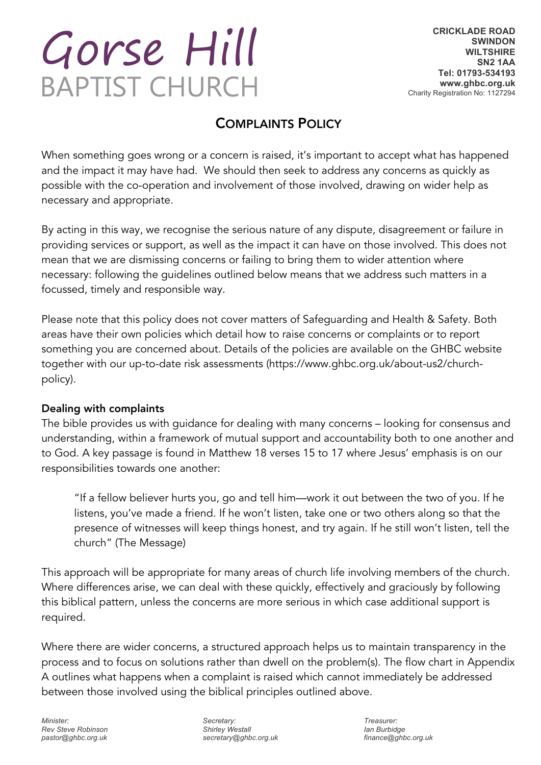# Gorse Hill **BAPTIST CHURCH**

# COMPLAINTS POLICY

When something goes wrong or a concern is raised, it's important to accept what has happened and the impact it may have had. We should then seek to address any concerns as quickly as possible with the co-operation and involvement of those involved, drawing on wider help as necessary and appropriate.

By acting in this way, we recognise the serious nature of any dispute, disagreement or failure in providing services or support, as well as the impact it can have on those involved. This does not mean that we are dismissing concerns or failing to bring them to wider attention where necessary: following the guidelines outlined below means that we address such matters in a focussed, timely and responsible way.

Please note that this policy does not cover matters of Safeguarding and Health & Safety. Both areas have their own policies which detail how to raise concerns or complaints or to report something you are concerned about. Details of the policies are available on the GHBC website together with our up-to-date risk assessments (https://www.ghbc.org.uk/about-us2/churchpolicy).

## Dealing with complaints

The bible provides us with guidance for dealing with many concerns – looking for consensus and understanding, within a framework of mutual support and accountability both to one another and to God. A key passage is found in Matthew 18 verses 15 to 17 where Jesus' emphasis is on our responsibilities towards one another:

"If a fellow believer hurts you, go and tell him—work it out between the two of you. If he listens, you've made a friend. If he won't listen, take one or two others along so that the presence of witnesses will keep things honest, and try again. If he still won't listen, tell the church" (The Message)

This approach will be appropriate for many areas of church life involving members of the church. Where differences arise, we can deal with these quickly, effectively and graciously by following this biblical pattern, unless the concerns are more serious in which case additional support is required.

Where there are wider concerns, a structured approach helps us to maintain transparency in the process and to focus on solutions rather than dwell on the problem(s). The flow chart in Appendix A outlines what happens when a complaint is raised which cannot immediately be addressed between those involved using the biblical principles outlined above.

*Minister: Rev Steve Robinson pastor@ghbc.org.uk* 

*Secretary: Shirley Westall secretary@ghbc.org.uk*

*Treasurer: Ian Burbidge finance@ghbc.org.uk*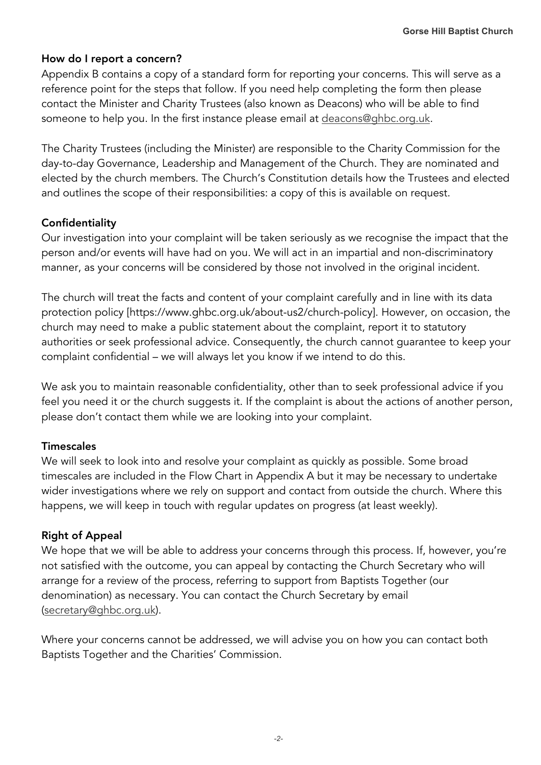### How do I report a concern?

Appendix B contains a copy of a standard form for reporting your concerns. This will serve as a reference point for the steps that follow. If you need help completing the form then please contact the Minister and Charity Trustees (also known as Deacons) who will be able to find someone to help you. In the first instance please email at deacons@ghbc.org.uk.

The Charity Trustees (including the Minister) are responsible to the Charity Commission for the day-to-day Governance, Leadership and Management of the Church. They are nominated and elected by the church members. The Church's Constitution details how the Trustees and elected and outlines the scope of their responsibilities: a copy of this is available on request.

### **Confidentiality**

Our investigation into your complaint will be taken seriously as we recognise the impact that the person and/or events will have had on you. We will act in an impartial and non-discriminatory manner, as your concerns will be considered by those not involved in the original incident.

The church will treat the facts and content of your complaint carefully and in line with its data protection policy [https://www.ghbc.org.uk/about-us2/church-policy]. However, on occasion, the church may need to make a public statement about the complaint, report it to statutory authorities or seek professional advice. Consequently, the church cannot guarantee to keep your complaint confidential – we will always let you know if we intend to do this.

We ask you to maintain reasonable confidentiality, other than to seek professional advice if you feel you need it or the church suggests it. If the complaint is about the actions of another person, please don't contact them while we are looking into your complaint.

#### **Timescales**

We will seek to look into and resolve your complaint as quickly as possible. Some broad timescales are included in the Flow Chart in Appendix A but it may be necessary to undertake wider investigations where we rely on support and contact from outside the church. Where this happens, we will keep in touch with regular updates on progress (at least weekly).

#### Right of Appeal

We hope that we will be able to address your concerns through this process. If, however, you're not satisfied with the outcome, you can appeal by contacting the Church Secretary who will arrange for a review of the process, referring to support from Baptists Together (our denomination) as necessary. You can contact the Church Secretary by email (secretary@ghbc.org.uk).

Where your concerns cannot be addressed, we will advise you on how you can contact both Baptists Together and the Charities' Commission.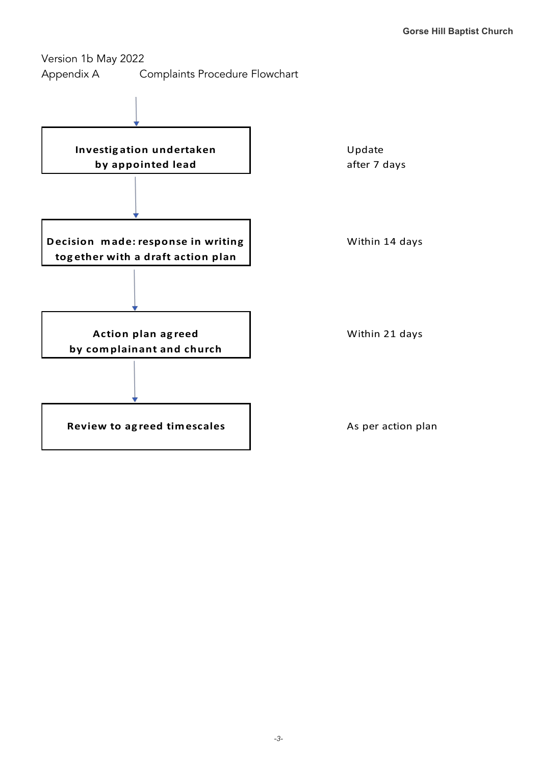Version 1b May 2022 Appendix A Complaints Procedure Flowchart

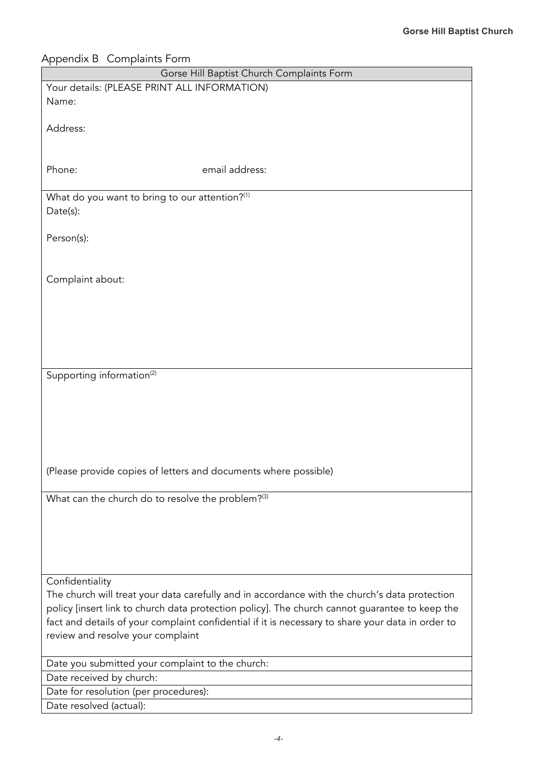| Appendix B Complaints Form                                                                        |
|---------------------------------------------------------------------------------------------------|
| Gorse Hill Baptist Church Complaints Form                                                         |
| Your details: (PLEASE PRINT ALL INFORMATION)                                                      |
| Name:                                                                                             |
|                                                                                                   |
| Address:                                                                                          |
|                                                                                                   |
| Phone:<br>email address:                                                                          |
|                                                                                                   |
| What do you want to bring to our attention?(1)                                                    |
| Date(s):                                                                                          |
|                                                                                                   |
| Person(s):                                                                                        |
|                                                                                                   |
|                                                                                                   |
| Complaint about:                                                                                  |
|                                                                                                   |
|                                                                                                   |
|                                                                                                   |
|                                                                                                   |
|                                                                                                   |
| Supporting information <sup>(2)</sup>                                                             |
|                                                                                                   |
|                                                                                                   |
|                                                                                                   |
|                                                                                                   |
|                                                                                                   |
|                                                                                                   |
| (Please provide copies of letters and documents where possible)                                   |
|                                                                                                   |
| What can the church do to resolve the problem? <sup>(3)</sup>                                     |
|                                                                                                   |
|                                                                                                   |
|                                                                                                   |
|                                                                                                   |
| Confidentiality                                                                                   |
| The church will treat your data carefully and in accordance with the church's data protection     |
| policy [insert link to church data protection policy]. The church cannot guarantee to keep the    |
| fact and details of your complaint confidential if it is necessary to share your data in order to |
| review and resolve your complaint                                                                 |
|                                                                                                   |
| Date you submitted your complaint to the church:                                                  |
| Date received by church:                                                                          |
| Date for resolution (per procedures):                                                             |
| Date resolved (actual):                                                                           |